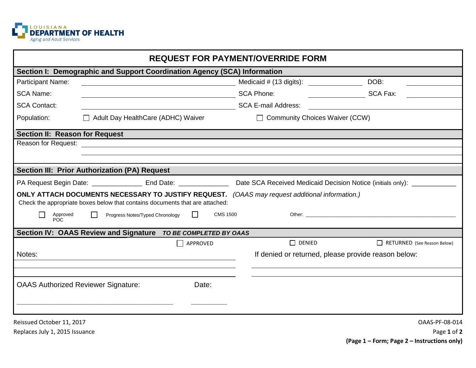

| <b>REQUEST FOR PAYMENT/OVERRIDE FORM</b>                                                                                                                                       |                                                                                                                       |                                  |                                                                                                                                                                                                                                |  |
|--------------------------------------------------------------------------------------------------------------------------------------------------------------------------------|-----------------------------------------------------------------------------------------------------------------------|----------------------------------|--------------------------------------------------------------------------------------------------------------------------------------------------------------------------------------------------------------------------------|--|
| Section I: Demographic and Support Coordination Agency (SCA) Information                                                                                                       |                                                                                                                       |                                  |                                                                                                                                                                                                                                |  |
| Participant Name:                                                                                                                                                              |                                                                                                                       |                                  | DOB:                                                                                                                                                                                                                           |  |
| <b>SCA Name:</b>                                                                                                                                                               |                                                                                                                       | <b>SCA Phone:</b>                | SCA Fax:                                                                                                                                                                                                                       |  |
| <b>SCA Contact:</b>                                                                                                                                                            | <u> 1980 - Johann Barbara, martin d</u>                                                                               | <b>SCA E-mail Address:</b>       |                                                                                                                                                                                                                                |  |
| Population:                                                                                                                                                                    | $\Box$ Adult Day HealthCare (ADHC) Waiver                                                                             | □ Community Choices Waiver (CCW) |                                                                                                                                                                                                                                |  |
| Section II: Reason for Request                                                                                                                                                 |                                                                                                                       |                                  |                                                                                                                                                                                                                                |  |
| Reason for Request:                                                                                                                                                            | <u> 1989 - Johann Barn, mars ann an t-Amhainn an t-Amhainn an t-Amhainn an t-Amhainn an t-Amhainn an t-Amhainn an</u> |                                  |                                                                                                                                                                                                                                |  |
|                                                                                                                                                                                |                                                                                                                       |                                  |                                                                                                                                                                                                                                |  |
| <b>Section III: Prior Authorization (PA) Request</b>                                                                                                                           |                                                                                                                       |                                  |                                                                                                                                                                                                                                |  |
| PA Request Begin Date: ____________________ End Date: ___________________________ Date SCA Received Medicaid Decision Notice (initials only): ___________________              |                                                                                                                       |                                  |                                                                                                                                                                                                                                |  |
| ONLY ATTACH DOCUMENTS NECESSARY TO JUSTIFY REQUEST. (OAAS may request additional information.)<br>Check the appropriate boxes below that contains documents that are attached: |                                                                                                                       |                                  |                                                                                                                                                                                                                                |  |
| Approved<br>POC.                                                                                                                                                               | $\Box$<br><b>CMS 1500</b><br>Progress Notes/Typed Chronology<br>$\Box$                                                |                                  | Other: the contract of the contract of the contract of the contract of the contract of the contract of the contract of the contract of the contract of the contract of the contract of the contract of the contract of the con |  |
| Section IV: OAAS Review and Signature TO BE COMPLETED BY OAAS                                                                                                                  |                                                                                                                       |                                  |                                                                                                                                                                                                                                |  |
|                                                                                                                                                                                | APPROVED                                                                                                              | $\Box$ DENIED                    | RETURNED (See Reason Below)                                                                                                                                                                                                    |  |
| Notes:                                                                                                                                                                         |                                                                                                                       |                                  | If denied or returned, please provide reason below:                                                                                                                                                                            |  |
|                                                                                                                                                                                |                                                                                                                       |                                  |                                                                                                                                                                                                                                |  |
| <b>OAAS Authorized Reviewer Signature:</b>                                                                                                                                     | Date:                                                                                                                 |                                  |                                                                                                                                                                                                                                |  |
| Reissued October 11, 2017                                                                                                                                                      |                                                                                                                       |                                  | OAAS-PF-08-014                                                                                                                                                                                                                 |  |
| Replaces July 1, 2015 Issuance                                                                                                                                                 |                                                                                                                       |                                  | Page 1 of 2                                                                                                                                                                                                                    |  |

**(Page 1 – Form; Page 2 – Instructions only)**